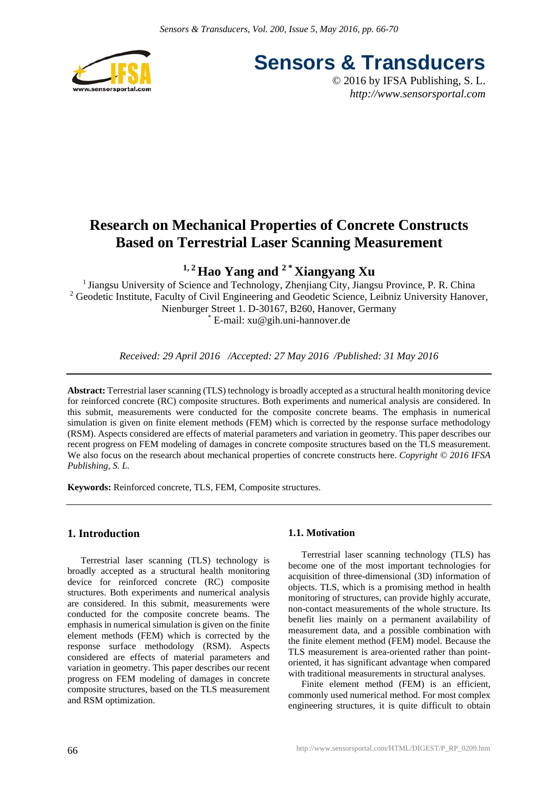

**Sensors & Transducers**

© 2016 by IFSA Publishing, S. L. *http://www.sensorsportal.com*

# **Research on Mechanical Properties of Concrete Constructs Based on Terrestrial Laser Scanning Measurement**

<sup>1, 2</sup> Hao Yang and <sup>2</sup><sup>\*</sup> Xiangyang Xu

<sup>1</sup> Jiangsu University of Science and Technology, Zhenjiang City, Jiangsu Province, P. R. China <sup>2</sup> Geodetic Institute, Faculty of Civil Engineering and Geodetic Science, Leibniz University Hanover, Nienburger Street 1. D-30167, B260, Hanover, Germany \* E-mail: xu@gih.uni-hannover.de

*Received: 29 April 2016 /Accepted: 27 May 2016 /Published: 31 May 2016*

**Abstract:** Terrestrial laser scanning (TLS) technology is broadly accepted as a structural health monitoring device for reinforced concrete (RC) composite structures. Both experiments and numerical analysis are considered. In this submit, measurements were conducted for the composite concrete beams. The emphasis in numerical simulation is given on finite element methods (FEM) which is corrected by the response surface methodology (RSM). Aspects considered are effects of material parameters and variation in geometry. This paper describes our recent progress on FEM modeling of damages in concrete composite structures based on the TLS measurement. We also focus on the research about mechanical properties of concrete constructs here. *Copyright © 2016 IFSA Publishing, S. L.*

**Keywords:** Reinforced concrete, TLS, FEM, Composite structures.

# **1. Introduction**

Terrestrial laser scanning (TLS) technology is broadly accepted as a structural health monitoring device for reinforced concrete (RC) composite structures. Both experiments and numerical analysis are considered. In this submit, measurements were conducted for the composite concrete beams. The emphasis in numerical simulation is given on the finite element methods (FEM) which is corrected by the response surface methodology (RSM). Aspects considered are effects of material parameters and variation in geometry. This paper describes our recent progress on FEM modeling of damages in concrete composite structures, based on the TLS measurement and RSM optimization.

# **1.1. Motivation**

Terrestrial laser scanning technology (TLS) has become one of the most important technologies for acquisition of three-dimensional (3D) information of objects. TLS, which is a promising method in health monitoring of structures, can provide highly accurate, non-contact measurements of the whole structure. Its benefit lies mainly on a permanent availability of measurement data, and a possible combination with the finite element method (FEM) model. Because the TLS measurement is area-oriented rather than pointoriented, it has significant advantage when compared with traditional measurements in structural analyses.

Finite element method (FEM) is an efficient, commonly used numerical method. For most complex engineering structures, it is quite difficult to obtain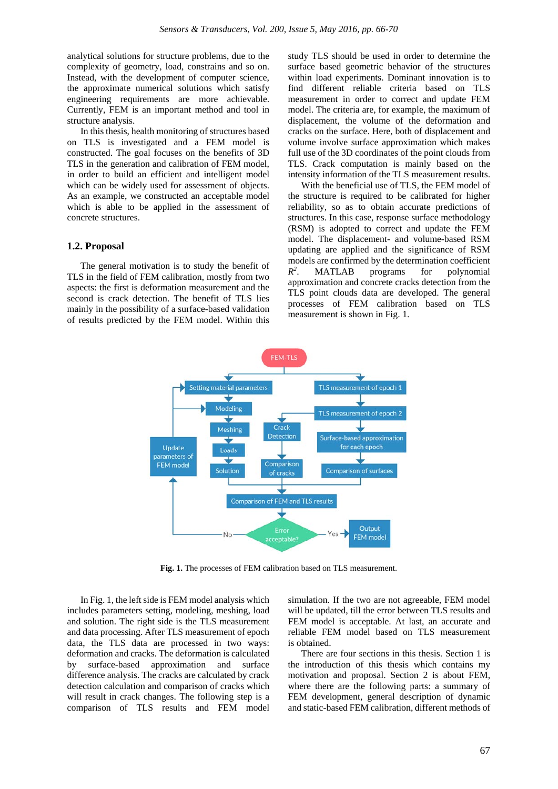analytical solutions for structure problems, due to the complexity of geometry, load, constrains and so on. Instead, with the development of computer science, the approximate numerical solutions which satisfy engineering requirements are more achievable. Currently, FEM is an important method and tool in structure analysis.

In this thesis, health monitoring of structures based on TLS is investigated and a FEM model is constructed. The goal focuses on the benefits of 3D TLS in the generation and calibration of FEM model, in order to build an efficient and intelligent model which can be widely used for assessment of objects. As an example, we constructed an acceptable model which is able to be applied in the assessment of concrete structures.

#### **1.2. Proposal**

The general motivation is to study the benefit of TLS in the field of FEM calibration, mostly from two aspects: the first is deformation measurement and the second is crack detection. The benefit of TLS lies mainly in the possibility of a surface-based validation of results predicted by the FEM model. Within this study TLS should be used in order to determine the surface based geometric behavior of the structures within load experiments. Dominant innovation is to find different reliable criteria based on TLS measurement in order to correct and update FEM model. The criteria are, for example, the maximum of displacement, the volume of the deformation and cracks on the surface. Here, both of displacement and volume involve surface approximation which makes full use of the 3D coordinates of the point clouds from TLS. Crack computation is mainly based on the intensity information of the TLS measurement results.

With the beneficial use of TLS, the FEM model of the structure is required to be calibrated for higher reliability, so as to obtain accurate predictions of structures. In this case, response surface methodology (RSM) is adopted to correct and update the FEM model. The displacement- and volume-based RSM updating are applied and the significance of RSM models are confirmed by the determination coefficient *R2* . MATLAB programs for polynomial approximation and concrete cracks detection from the TLS point clouds data are developed. The general processes of FEM calibration based on TLS measurement is shown in Fig. 1.



**Fig. 1.** The processes of FEM calibration based on TLS measurement.

In Fig. 1, the left side is FEM model analysis which includes parameters setting, modeling, meshing, load and solution. The right side is the TLS measurement and data processing. After TLS measurement of epoch data, the TLS data are processed in two ways: deformation and cracks. The deformation is calculated by surface-based approximation and surface difference analysis. The cracks are calculated by crack detection calculation and comparison of cracks which will result in crack changes. The following step is a comparison of TLS results and FEM model simulation. If the two are not agreeable, FEM model will be updated, till the error between TLS results and FEM model is acceptable. At last, an accurate and reliable FEM model based on TLS measurement is obtained.

There are four sections in this thesis. Section 1 is the introduction of this thesis which contains my motivation and proposal. Section 2 is about FEM, where there are the following parts: a summary of FEM development, general description of dynamic and static-based FEM calibration, different methods of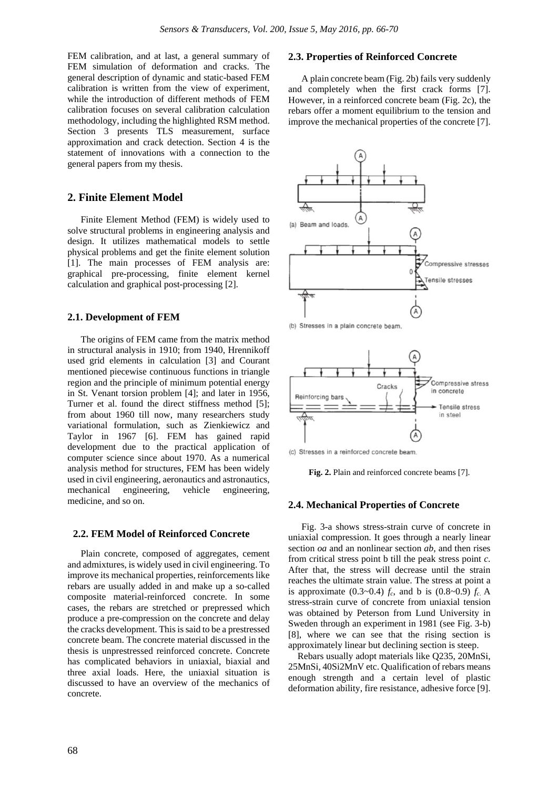FEM calibration, and at last, a general summary of FEM simulation of deformation and cracks. The general description of dynamic and static-based FEM calibration is written from the view of experiment, while the introduction of different methods of FEM calibration focuses on several calibration calculation methodology, including the highlighted RSM method. Section 3 presents TLS measurement, surface approximation and crack detection. Section 4 is the statement of innovations with a connection to the general papers from my thesis.

## **2. Finite Element Model**

Finite Element Method (FEM) is widely used to solve structural problems in engineering analysis and design. It utilizes mathematical models to settle physical problems and get the finite element solution [1]. The main processes of FEM analysis are: graphical pre-processing, finite element kernel calculation and graphical post-processing [2].

## **2.1. Development of FEM**

The origins of FEM came from the matrix method in structural analysis in 1910; from 1940, Hrennikoff used grid elements in calculation [3] and Courant mentioned piecewise continuous functions in triangle region and the principle of minimum potential energy in St. Venant torsion problem [4]; and later in 1956, Turner et al. found the direct stiffness method [5]; from about 1960 till now, many researchers study variational formulation, such as Zienkiewicz and Taylor in 1967 [6]. FEM has gained rapid development due to the practical application of computer science since about 1970. As a numerical analysis method for structures, FEM has been widely used in civil engineering, aeronautics and astronautics, mechanical engineering, vehicle engineering, medicine, and so on.

### **2.2. FEM Model of Reinforced Concrete**

Plain concrete, composed of aggregates, cement and admixtures, is widely used in civil engineering. To improve its mechanical properties, reinforcements like rebars are usually added in and make up a so-called composite material-reinforced concrete. In some cases, the rebars are stretched or prepressed which produce a pre-compression on the concrete and delay the cracks development. This is said to be a prestressed concrete beam. The concrete material discussed in the thesis is unprestressed reinforced concrete. Concrete has complicated behaviors in uniaxial, biaxial and three axial loads. Here, the uniaxial situation is discussed to have an overview of the mechanics of concrete.

## **2.3. Properties of Reinforced Concrete**

A plain concrete beam (Fig. 2b) fails very suddenly and completely when the first crack forms [7]. However, in a reinforced concrete beam (Fig. 2c), the rebars offer a moment equilibrium to the tension and improve the mechanical properties of the concrete [7].



(b) Stresses in a plain concrete beam.



(c) Stresses in a reinforced concrete beam.

**Fig. 2.** Plain and reinforced concrete beams [7].

#### **2.4. Mechanical Properties of Concrete**

Fig. 3-a shows stress-strain curve of concrete in uniaxial compression. It goes through a nearly linear section *oa* and an nonlinear section *ab*, and then rises from critical stress point b till the peak stress point *c*. After that, the stress will decrease until the strain reaches the ultimate strain value. The stress at point a is approximate (0.3~0.4)  $f_c$ , and b is (0.8~0.9)  $f_c$ . A stress-strain curve of concrete from uniaxial tension was obtained by Peterson from Lund University in Sweden through an experiment in 1981 (see Fig. 3-b) [8], where we can see that the rising section is approximately linear but declining section is steep.

Rebars usually adopt materials like Q235, 20MnSi, 25MnSi, 40Si2MnV etc. Qualification of rebars means enough strength and a certain level of plastic deformation ability, fire resistance, adhesive force [9].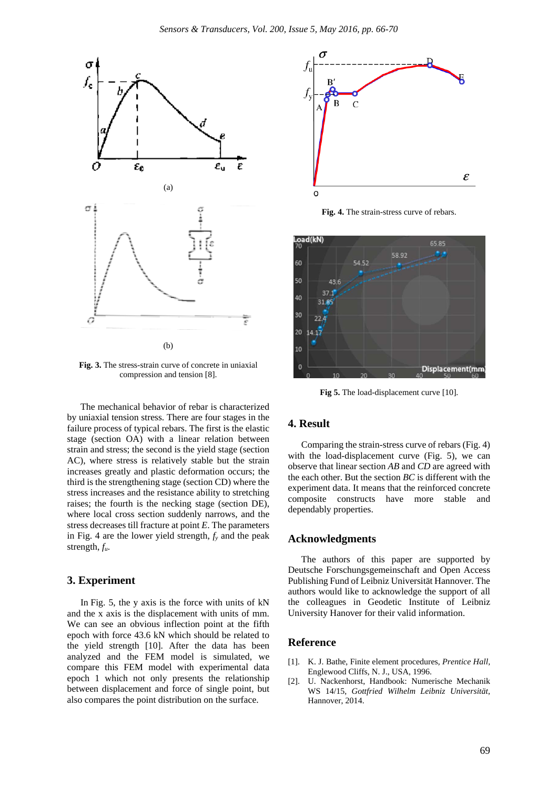

**Fig. 3.** The stress-strain curve of concrete in uniaxial compression and tension [8].

The mechanical behavior of rebar is characterized by uniaxial tension stress. There are four stages in the failure process of typical rebars. The first is the elastic stage (section OA) with a linear relation between strain and stress; the second is the yield stage (section AC), where stress is relatively stable but the strain increases greatly and plastic deformation occurs; the third is the strengthening stage (section CD) where the stress increases and the resistance ability to stretching raises; the fourth is the necking stage (section DE), where local cross section suddenly narrows, and the stress decreases till fracture at point *E*. The parameters in Fig. 4 are the lower yield strength,  $f<sub>y</sub>$  and the peak strength, *fu*.

## **3. Experiment**

In Fig. 5, the y axis is the force with units of kN and the x axis is the displacement with units of mm. We can see an obvious inflection point at the fifth epoch with force 43.6 kN which should be related to the yield strength [10]. After the data has been analyzed and the FEM model is simulated, we compare this FEM model with experimental data epoch 1 which not only presents the relationship between displacement and force of single point, but also compares the point distribution on the surface.



**Fig. 4.** The strain-stress curve of rebars.



**Fig 5.** The load-displacement curve [10].

## **4. Result**

Comparing the strain-stress curve of rebars (Fig. 4) with the load-displacement curve (Fig. 5), we can observe that linear section *AB* and *CD* are agreed with the each other. But the section *BC* is different with the experiment data. It means that the reinforced concrete composite constructs have more stable and dependably properties.

## **Acknowledgments**

The authors of this paper are supported by Deutsche Forschungsgemeinschaft and Open Access Publishing Fund of Leibniz Universität Hannover. The authors would like to acknowledge the support of all the colleagues in Geodetic Institute of Leibniz University Hanover for their valid information.

## **Reference**

- [1]. K. J. Bathe, Finite element procedures, *Prentice Hall,* Englewood Cliffs, N. J., USA, 1996.
- [2]. U. Nackenhorst, Handbook: Numerische Mechanik WS 14/15, *Gottfried Wilhelm Leibniz Universität*, Hannover, 2014.